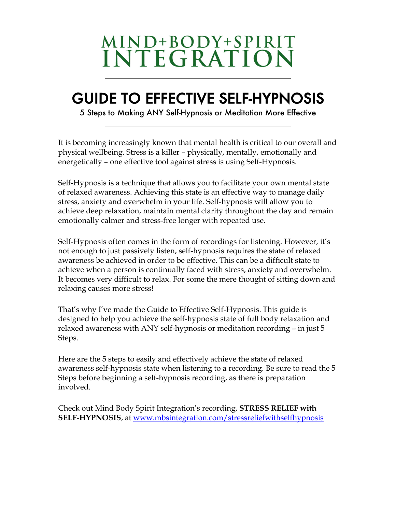# MIND+BODY+SPIRIT<br>INTEGRATION

# GUIDE TO EFFECTIVE SELF-HYPNOSIS<br>5 Steps to Making ANY Self-Hypnosis or Meditation More Effective

It is becoming increasingly known that mental health is critical to our overall and physical wellbeing. Stress is a killer – physically, mentally, emotionally and energetically – one effective tool against stress is using Self-Hypnosis.

Self-Hypnosis is a technique that allows you to facilitate your own mental state of relaxed awareness. Achieving this state is an effective way to manage daily stress, anxiety and overwhelm in your life. Self-hypnosis will allow you to achieve deep relaxation, maintain mental clarity throughout the day and remain emotionally calmer and stress-free longer with repeated use.

Self-Hypnosis often comes in the form of recordings for listening. However, it's not enough to just passively listen, self-hypnosis requires the state of relaxed awareness be achieved in order to be effective. This can be a difficult state to achieve when a person is continually faced with stress, anxiety and overwhelm. It becomes very difficult to relax. For some the mere thought of sitting down and relaxing causes more stress!

That's why I've made the Guide to Effective Self-Hypnosis. This guide is designed to help you achieve the self-hypnosis state of full body relaxation and relaxed awareness with ANY self-hypnosis or meditation recording – in just 5 Steps.

Here are the 5 steps to easily and effectively achieve the state of relaxed awareness self-hypnosis state when listening to a recording. Be sure to read the 5 Steps before beginning a self-hypnosis recording, as there is preparation involved.

Check out Mind Body Spirit Integration's recording, **STRESS RELIEF with SELF-HYPNOSIS**, at www.mbsintegration.com/stressreliefwithselfhypnosis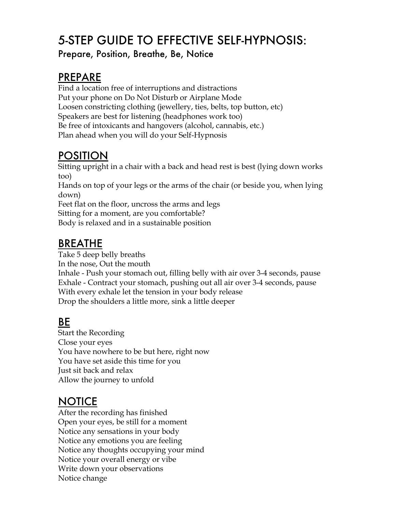# 5-STEP GUIDE TO EFFECTIVE SELF-HYPNOSIS:

Prepare, Position, Breathe, Be, Notice

## PREPARE

Find a location free of interruptions and distractions Put your phone on Do Not Disturb or Airplane Mode Loosen constricting clothing (jewellery, ties, belts, top button, etc) Speakers are best for listening (headphones work too) Be free of intoxicants and hangovers (alcohol, cannabis, etc.) Plan ahead when you will do your Self-Hypnosis

# POSITION

Sitting upright in a chair with a back and head rest is best (lying down works too) Hands on top of your legs or the arms of the chair (or beside you, when lying

down)

Feet flat on the floor, uncross the arms and legs

Sitting for a moment, are you comfortable?

Body is relaxed and in a sustainable position

# BREATHE

Take 5 deep belly breaths In the nose, Out the mouth Inhale - Push your stomach out, filling belly with air over 3-4 seconds, pause Exhale - Contract your stomach, pushing out all air over 3-4 seconds, pause With every exhale let the tension in your body release Drop the shoulders a little more, sink a little deeper

# BE

Start the Recording Close your eyes You have nowhere to be but here, right now You have set aside this time for you Just sit back and relax Allow the journey to unfold

# **NOTICE**

After the recording has finished Open your eyes, be still for a moment Notice any sensations in your body Notice any emotions you are feeling Notice any thoughts occupying your mind Notice your overall energy or vibe Write down your observations Notice change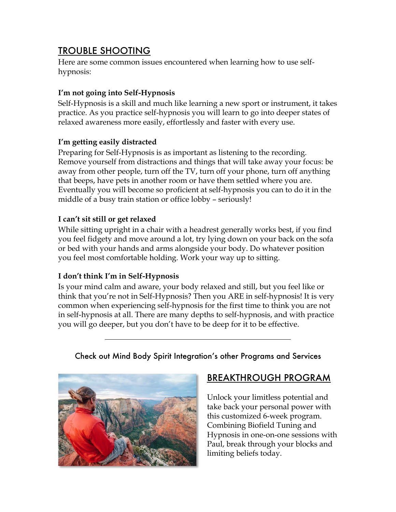### TROUBLE SHOOTING

Here are some common issues encountered when learning how to use selfhypnosis:

#### **I'm not going into Self-Hypnosis**

Self-Hypnosis is a skill and much like learning a new sport or instrument, it takes practice. As you practice self-hypnosis you will learn to go into deeper states of relaxed awareness more easily, effortlessly and faster with every use.

#### **I'm getting easily distracted**

Preparing for Self-Hypnosis is as important as listening to the recording. Remove yourself from distractions and things that will take away your focus: be away from other people, turn off the TV, turn off your phone, turn off anything that beeps, have pets in another room or have them settled where you are. Eventually you will become so proficient at self-hypnosis you can to do it in the middle of a busy train station or office lobby – seriously!

#### **I can't sit still or get relaxed**

While sitting upright in a chair with a headrest generally works best, if you find you feel fidgety and move around a lot, try lying down on your back on the sofa or bed with your hands and arms alongside your body. Do whatever position you feel most comfortable holding. Work your way up to sitting.

#### **I don't think I'm in Self-Hypnosis**

Is your mind calm and aware, your body relaxed and still, but you feel like or think that you're not in Self-Hypnosis? Then you ARE in self-hypnosis! It is very common when experiencing self-hypnosis for the first time to think you are not in self-hypnosis at all. There are many depths to self-hypnosis, and with practice you will go deeper, but you don't have to be deep for it to be effective.



#### Check out Mind Body Spirit Integration's other Programs and Services

#### BREAKTHROUGH PROGRAM

Unlock your limitless potential and take back your personal power with this customized 6-week program. Combining Biofield Tuning and Hypnosis in one-on-one sessions with Paul, break through your blocks and limiting beliefs today.